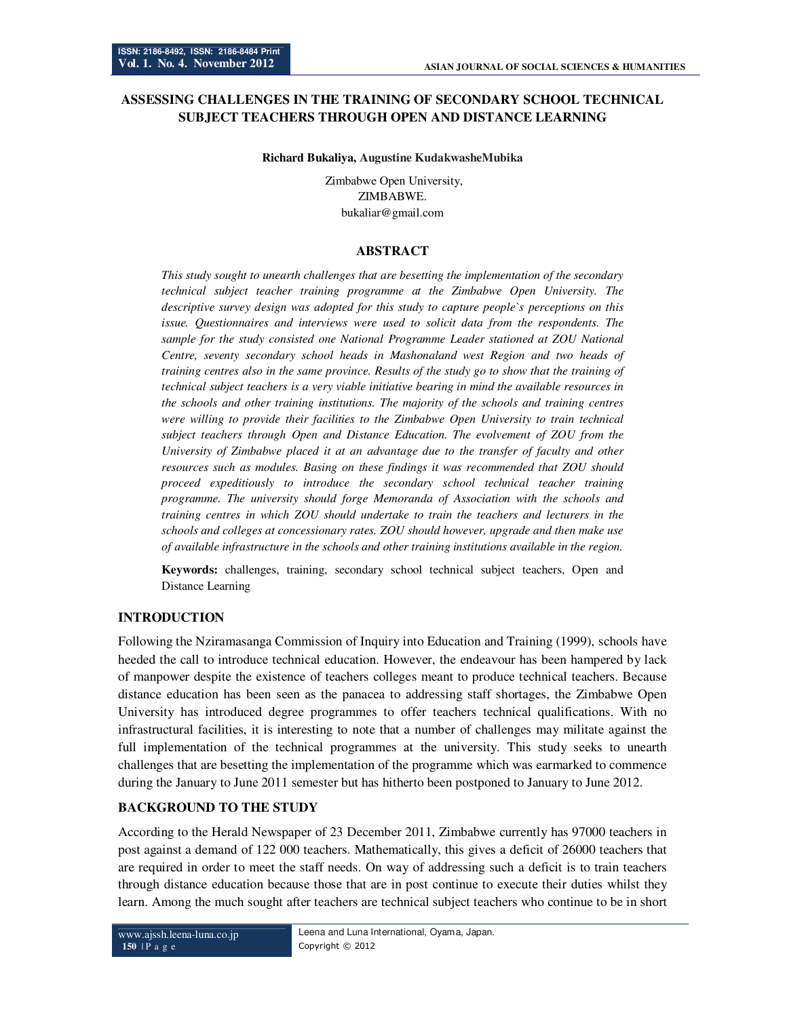# **ASSESSING CHALLENGES IN THE TRAINING OF SECONDARY SCHOOL TECHNICAL SUBJECT TEACHERS THROUGH OPEN AND DISTANCE LEARNING**

#### **Richard Bukaliya, Augustine KudakwasheMubika**

 Zimbabwe Open University, ZIMBABWE. bukaliar@gmail.com

### **ABSTRACT**

*This study sought to unearth challenges that are besetting the implementation of the secondary technical subject teacher training programme at the Zimbabwe Open University. The descriptive survey design was adopted for this study to capture people`s perceptions on this issue. Questionnaires and interviews were used to solicit data from the respondents. The sample for the study consisted one National Programme Leader stationed at ZOU National Centre, seventy secondary school heads in Mashonaland west Region and two heads of training centres also in the same province. Results of the study go to show that the training of technical subject teachers is a very viable initiative bearing in mind the available resources in the schools and other training institutions. The majority of the schools and training centres were willing to provide their facilities to the Zimbabwe Open University to train technical subject teachers through Open and Distance Education. The evolvement of ZOU from the University of Zimbabwe placed it at an advantage due to the transfer of faculty and other resources such as modules. Basing on these findings it was recommended that ZOU should proceed expeditiously to introduce the secondary school technical teacher training programme. The university should forge Memoranda of Association with the schools and training centres in which ZOU should undertake to train the teachers and lecturers in the schools and colleges at concessionary rates. ZOU should however, upgrade and then make use of available infrastructure in the schools and other training institutions available in the region.* 

**Keywords:** challenges, training, secondary school technical subject teachers, Open and Distance Learning

### **INTRODUCTION**

Following the Nziramasanga Commission of Inquiry into Education and Training (1999), schools have heeded the call to introduce technical education. However, the endeavour has been hampered by lack of manpower despite the existence of teachers colleges meant to produce technical teachers. Because distance education has been seen as the panacea to addressing staff shortages, the Zimbabwe Open University has introduced degree programmes to offer teachers technical qualifications. With no infrastructural facilities, it is interesting to note that a number of challenges may militate against the full implementation of the technical programmes at the university. This study seeks to unearth challenges that are besetting the implementation of the programme which was earmarked to commence during the January to June 2011 semester but has hitherto been postponed to January to June 2012.

### **BACKGROUND TO THE STUDY**

According to the Herald Newspaper of 23 December 2011, Zimbabwe currently has 97000 teachers in post against a demand of 122 000 teachers. Mathematically, this gives a deficit of 26000 teachers that are required in order to meet the staff needs. On way of addressing such a deficit is to train teachers through distance education because those that are in post continue to execute their duties whilst they learn. Among the much sought after teachers are technical subject teachers who continue to be in short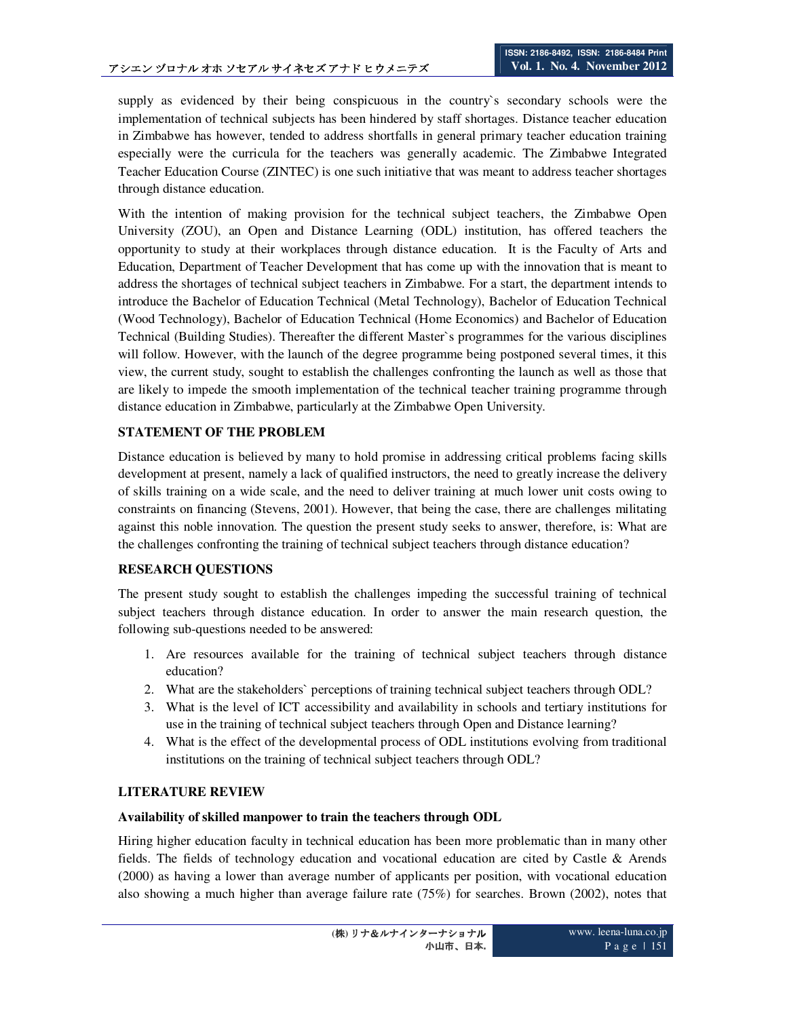supply as evidenced by their being conspicuous in the country`s secondary schools were the implementation of technical subjects has been hindered by staff shortages. Distance teacher education in Zimbabwe has however, tended to address shortfalls in general primary teacher education training especially were the curricula for the teachers was generally academic. The Zimbabwe Integrated Teacher Education Course (ZINTEC) is one such initiative that was meant to address teacher shortages through distance education.

With the intention of making provision for the technical subject teachers, the Zimbabwe Open University (ZOU), an Open and Distance Learning (ODL) institution, has offered teachers the opportunity to study at their workplaces through distance education. It is the Faculty of Arts and Education, Department of Teacher Development that has come up with the innovation that is meant to address the shortages of technical subject teachers in Zimbabwe. For a start, the department intends to introduce the Bachelor of Education Technical (Metal Technology), Bachelor of Education Technical (Wood Technology), Bachelor of Education Technical (Home Economics) and Bachelor of Education Technical (Building Studies). Thereafter the different Master`s programmes for the various disciplines will follow. However, with the launch of the degree programme being postponed several times, it this view, the current study, sought to establish the challenges confronting the launch as well as those that are likely to impede the smooth implementation of the technical teacher training programme through distance education in Zimbabwe, particularly at the Zimbabwe Open University.

## **STATEMENT OF THE PROBLEM**

Distance education is believed by many to hold promise in addressing critical problems facing skills development at present, namely a lack of qualified instructors, the need to greatly increase the delivery of skills training on a wide scale, and the need to deliver training at much lower unit costs owing to constraints on financing (Stevens, 2001). However, that being the case, there are challenges militating against this noble innovation. The question the present study seeks to answer, therefore, is: What are the challenges confronting the training of technical subject teachers through distance education?

## **RESEARCH QUESTIONS**

The present study sought to establish the challenges impeding the successful training of technical subject teachers through distance education. In order to answer the main research question, the following sub-questions needed to be answered:

- 1. Are resources available for the training of technical subject teachers through distance education?
- 2. What are the stakeholders` perceptions of training technical subject teachers through ODL?
- 3. What is the level of ICT accessibility and availability in schools and tertiary institutions for use in the training of technical subject teachers through Open and Distance learning?
- 4. What is the effect of the developmental process of ODL institutions evolving from traditional institutions on the training of technical subject teachers through ODL?

# **LITERATURE REVIEW**

## **Availability of skilled manpower to train the teachers through ODL**

Hiring higher education faculty in technical education has been more problematic than in many other fields. The fields of technology education and vocational education are cited by Castle & Arends (2000) as having a lower than average number of applicants per position, with vocational education also showing a much higher than average failure rate (75%) for searches. Brown (2002), notes that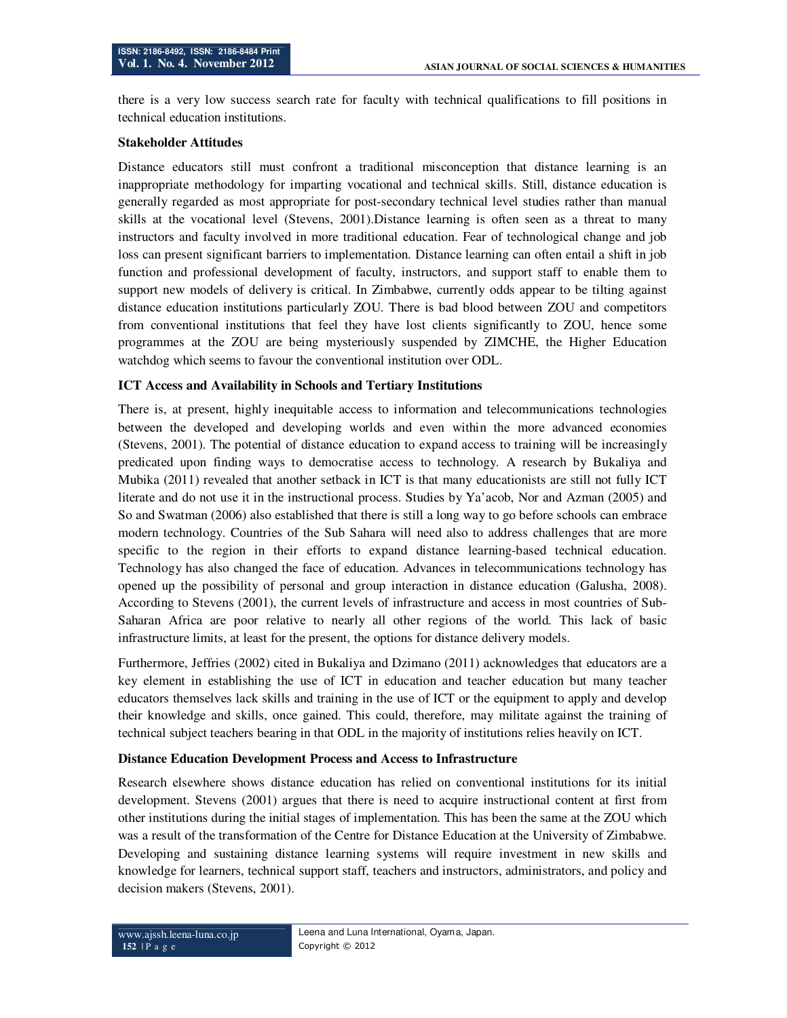there is a very low success search rate for faculty with technical qualifications to fill positions in technical education institutions.

#### **Stakeholder Attitudes**

Distance educators still must confront a traditional misconception that distance learning is an inappropriate methodology for imparting vocational and technical skills. Still, distance education is generally regarded as most appropriate for post-secondary technical level studies rather than manual skills at the vocational level (Stevens, 2001).Distance learning is often seen as a threat to many instructors and faculty involved in more traditional education. Fear of technological change and job loss can present significant barriers to implementation. Distance learning can often entail a shift in job function and professional development of faculty, instructors, and support staff to enable them to support new models of delivery is critical. In Zimbabwe, currently odds appear to be tilting against distance education institutions particularly ZOU. There is bad blood between ZOU and competitors from conventional institutions that feel they have lost clients significantly to ZOU, hence some programmes at the ZOU are being mysteriously suspended by ZIMCHE, the Higher Education watchdog which seems to favour the conventional institution over ODL.

### **ICT Access and Availability in Schools and Tertiary Institutions**

There is, at present, highly inequitable access to information and telecommunications technologies between the developed and developing worlds and even within the more advanced economies (Stevens, 2001). The potential of distance education to expand access to training will be increasingly predicated upon finding ways to democratise access to technology. A research by Bukaliya and Mubika (2011) revealed that another setback in ICT is that many educationists are still not fully ICT literate and do not use it in the instructional process. Studies by Ya'acob, Nor and Azman (2005) and So and Swatman (2006) also established that there is still a long way to go before schools can embrace modern technology. Countries of the Sub Sahara will need also to address challenges that are more specific to the region in their efforts to expand distance learning-based technical education. Technology has also changed the face of education. Advances in telecommunications technology has opened up the possibility of personal and group interaction in distance education (Galusha, 2008). According to Stevens (2001), the current levels of infrastructure and access in most countries of Sub-Saharan Africa are poor relative to nearly all other regions of the world. This lack of basic infrastructure limits, at least for the present, the options for distance delivery models.

Furthermore, Jeffries (2002) cited in Bukaliya and Dzimano (2011) acknowledges that educators are a key element in establishing the use of ICT in education and teacher education but many teacher educators themselves lack skills and training in the use of ICT or the equipment to apply and develop their knowledge and skills, once gained. This could, therefore, may militate against the training of technical subject teachers bearing in that ODL in the majority of institutions relies heavily on ICT.

### **Distance Education Development Process and Access to Infrastructure**

Research elsewhere shows distance education has relied on conventional institutions for its initial development. Stevens (2001) argues that there is need to acquire instructional content at first from other institutions during the initial stages of implementation. This has been the same at the ZOU which was a result of the transformation of the Centre for Distance Education at the University of Zimbabwe. Developing and sustaining distance learning systems will require investment in new skills and knowledge for learners, technical support staff, teachers and instructors, administrators, and policy and decision makers (Stevens, 2001).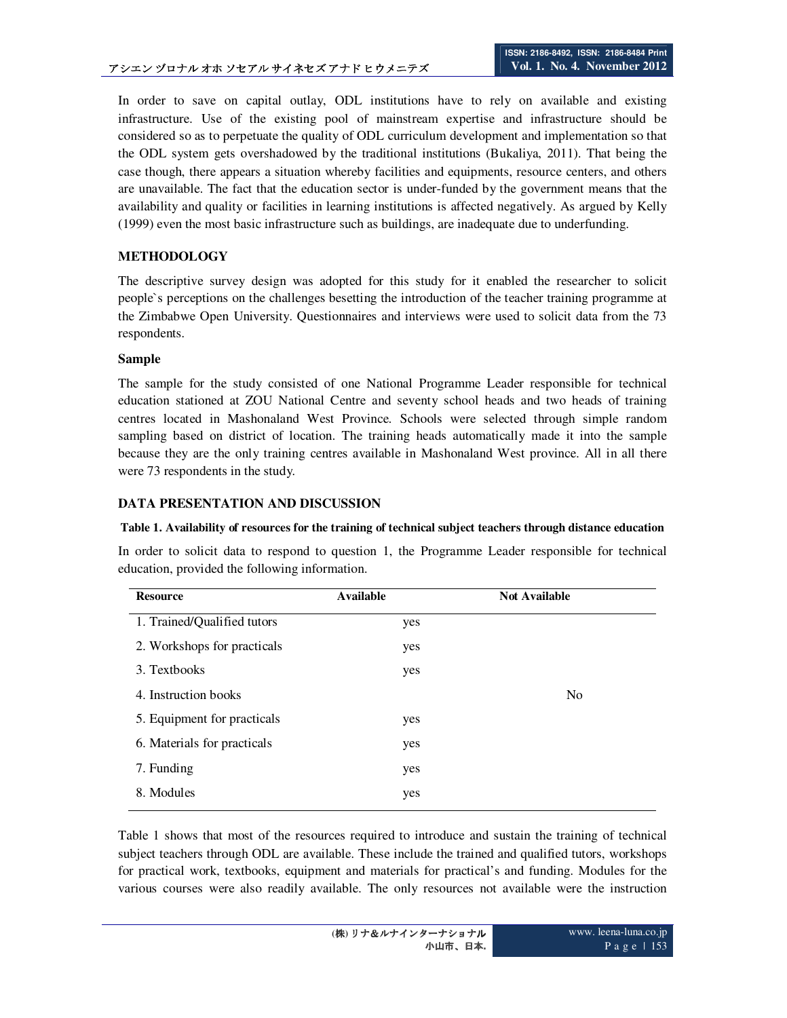In order to save on capital outlay, ODL institutions have to rely on available and existing infrastructure. Use of the existing pool of mainstream expertise and infrastructure should be considered so as to perpetuate the quality of ODL curriculum development and implementation so that the ODL system gets overshadowed by the traditional institutions (Bukaliya, 2011). That being the case though, there appears a situation whereby facilities and equipments, resource centers, and others are unavailable. The fact that the education sector is under-funded by the government means that the availability and quality or facilities in learning institutions is affected negatively. As argued by Kelly (1999) even the most basic infrastructure such as buildings, are inadequate due to underfunding.

# **METHODOLOGY**

The descriptive survey design was adopted for this study for it enabled the researcher to solicit people`s perceptions on the challenges besetting the introduction of the teacher training programme at the Zimbabwe Open University. Questionnaires and interviews were used to solicit data from the 73 respondents.

### **Sample**

The sample for the study consisted of one National Programme Leader responsible for technical education stationed at ZOU National Centre and seventy school heads and two heads of training centres located in Mashonaland West Province. Schools were selected through simple random sampling based on district of location. The training heads automatically made it into the sample because they are the only training centres available in Mashonaland West province. All in all there were 73 respondents in the study.

## **DATA PRESENTATION AND DISCUSSION**

### **Table 1. Availability of resources for the training of technical subject teachers through distance education**

In order to solicit data to respond to question 1, the Programme Leader responsible for technical education, provided the following information.

| <b>Resource</b>             | <b>Available</b> | <b>Not Available</b> |
|-----------------------------|------------------|----------------------|
| 1. Trained/Qualified tutors | yes              |                      |
| 2. Workshops for practicals | yes              |                      |
| 3. Textbooks                | yes              |                      |
| 4. Instruction books        |                  | N <sub>o</sub>       |
| 5. Equipment for practicals | yes              |                      |
| 6. Materials for practicals | yes              |                      |
| 7. Funding                  | yes              |                      |
| 8. Modules                  | yes              |                      |
|                             |                  |                      |

Table 1 shows that most of the resources required to introduce and sustain the training of technical subject teachers through ODL are available. These include the trained and qualified tutors, workshops for practical work, textbooks, equipment and materials for practical's and funding. Modules for the various courses were also readily available. The only resources not available were the instruction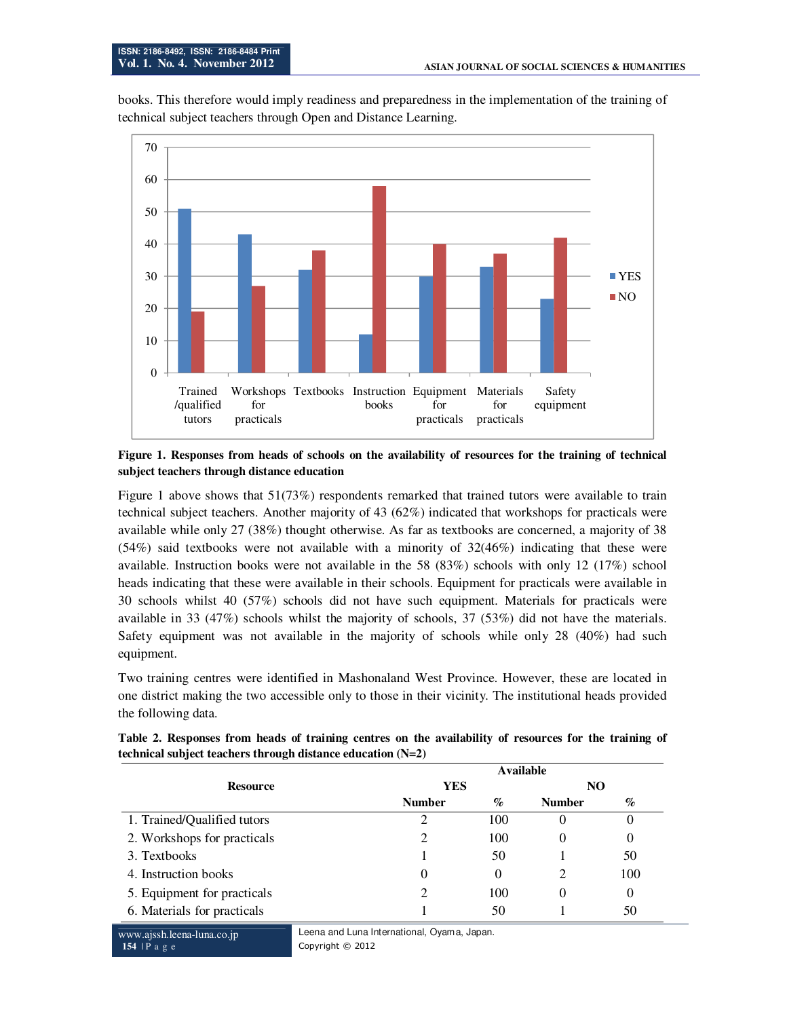books. This therefore would imply readiness and preparedness in the implementation of the training of technical subject teachers through Open and Distance Learning.



#### **Figure 1. Responses from heads of schools on the availability of resources for the training of technical subject teachers through distance education**

Figure 1 above shows that 51(73%) respondents remarked that trained tutors were available to train technical subject teachers. Another majority of 43 (62%) indicated that workshops for practicals were available while only 27 (38%) thought otherwise. As far as textbooks are concerned, a majority of 38  $(54%)$  said textbooks were not available with a minority of  $32(46%)$  indicating that these were available. Instruction books were not available in the 58 (83%) schools with only 12 (17%) school heads indicating that these were available in their schools. Equipment for practicals were available in 30 schools whilst 40 (57%) schools did not have such equipment. Materials for practicals were available in 33 (47%) schools whilst the majority of schools, 37 (53%) did not have the materials. Safety equipment was not available in the majority of schools while only 28 (40%) had such equipment.

Two training centres were identified in Mashonaland West Province. However, these are located in one district making the two accessible only to those in their vicinity. The institutional heads provided the following data.

| <b>Resource</b>             | Available     |      |               |      |
|-----------------------------|---------------|------|---------------|------|
|                             | <b>YES</b>    |      | NO            |      |
|                             | <b>Number</b> | $\%$ | <b>Number</b> | $\%$ |
| 1. Trained/Qualified tutors |               | 100  | $\theta$      |      |
| 2. Workshops for practicals |               | 100  | $_{0}$        | O    |
| 3. Textbooks                |               | 50   |               | 50   |
| 4. Instruction books        | 0             | O    | 2             | 100  |
| 5. Equipment for practicals |               | 100  | $\Omega$      | 0    |
| 6. Materials for practicals |               | 50   |               | 50   |

**Table 2. Responses from heads of training centres on the availability of resources for the training of technical subject teachers through distance education (N=2)**

www.ajssh.leena-luna.co.jp **154** | P a g e

Leena and Luna International, Oyama, Japan. Copyright © 2012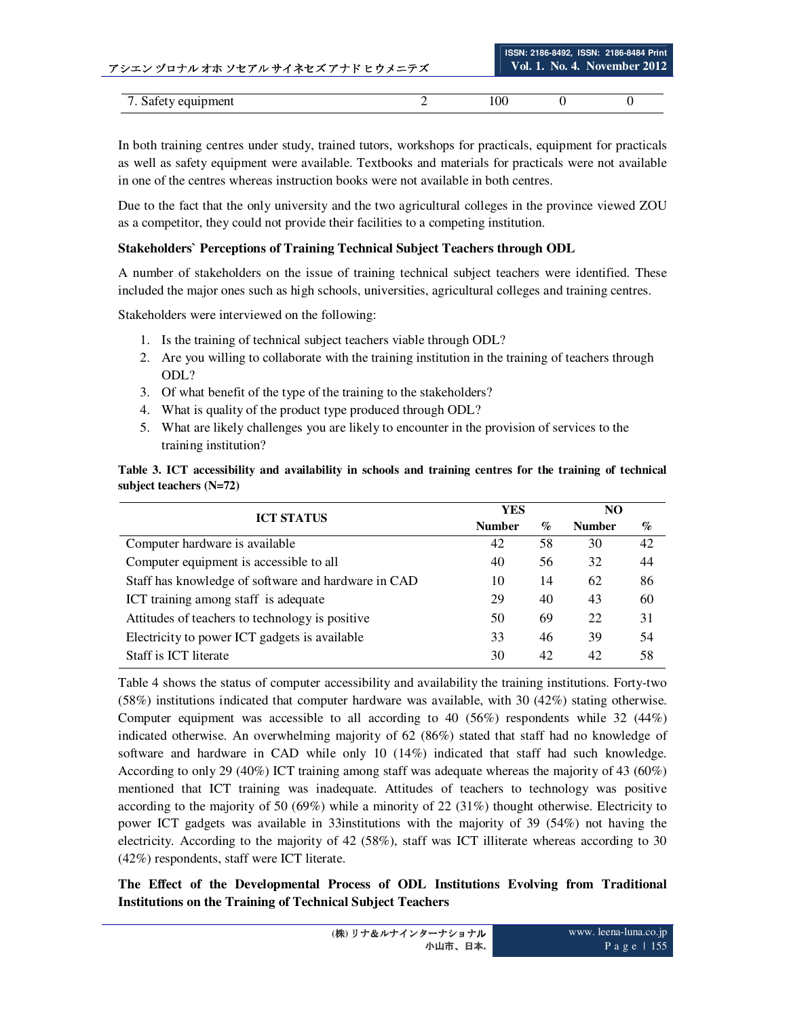| アシエン ゾロナル オホ ソセアル サイネセズ アナド ヒウメニテズ | Vol. 1. No. 4. November 2012 |  |  |  |
|------------------------------------|------------------------------|--|--|--|
|                                    |                              |  |  |  |
| 7. Safety equipment                | 100                          |  |  |  |

**ISSN: 2186-8492, ISSN: 2186-8484 Print** 

In both training centres under study, trained tutors, workshops for practicals, equipment for practicals as well as safety equipment were available. Textbooks and materials for practicals were not available in one of the centres whereas instruction books were not available in both centres.

Due to the fact that the only university and the two agricultural colleges in the province viewed ZOU as a competitor, they could not provide their facilities to a competing institution.

# **Stakeholders` Perceptions of Training Technical Subject Teachers through ODL**

A number of stakeholders on the issue of training technical subject teachers were identified. These included the major ones such as high schools, universities, agricultural colleges and training centres.

Stakeholders were interviewed on the following:

- 1. Is the training of technical subject teachers viable through ODL?
- 2. Are you willing to collaborate with the training institution in the training of teachers through ODL?
- 3. Of what benefit of the type of the training to the stakeholders?
- 4. What is quality of the product type produced through ODL?
- 5. What are likely challenges you are likely to encounter in the provision of services to the training institution?

**Table 3. ICT accessibility and availability in schools and training centres for the training of technical subject teachers (N=72)** 

| <b>ICT STATUS</b>                                   | YES           |      | N <sub>O</sub> |      |
|-----------------------------------------------------|---------------|------|----------------|------|
|                                                     | <b>Number</b> | $\%$ | <b>Number</b>  | $\%$ |
| Computer hardware is available                      | 42            | 58   | 30             | 42   |
| Computer equipment is accessible to all             | 40            | 56   | 32             | 44   |
| Staff has knowledge of software and hardware in CAD | 10            | 14   | 62             | 86   |
| ICT training among staff is adequate                | 29            | 40   | 43             | 60   |
| Attitudes of teachers to technology is positive     | 50            | 69   | 22             | 31   |
| Electricity to power ICT gadgets is available       | 33            | 46   | 39             | 54   |
| Staff is ICT literate                               | 30            | 42   | 42             | 58   |

Table 4 shows the status of computer accessibility and availability the training institutions. Forty-two (58%) institutions indicated that computer hardware was available, with 30 (42%) stating otherwise. Computer equipment was accessible to all according to 40 (56%) respondents while 32 (44%) indicated otherwise. An overwhelming majority of 62 (86%) stated that staff had no knowledge of software and hardware in CAD while only 10 (14%) indicated that staff had such knowledge. According to only 29 (40%) ICT training among staff was adequate whereas the majority of 43 (60%) mentioned that ICT training was inadequate. Attitudes of teachers to technology was positive according to the majority of 50 (69%) while a minority of 22 (31%) thought otherwise. Electricity to power ICT gadgets was available in 33institutions with the majority of 39 (54%) not having the electricity. According to the majority of 42 (58%), staff was ICT illiterate whereas according to 30 (42%) respondents, staff were ICT literate.

**The Effect of the Developmental Process of ODL Institutions Evolving from Traditional Institutions on the Training of Technical Subject Teachers**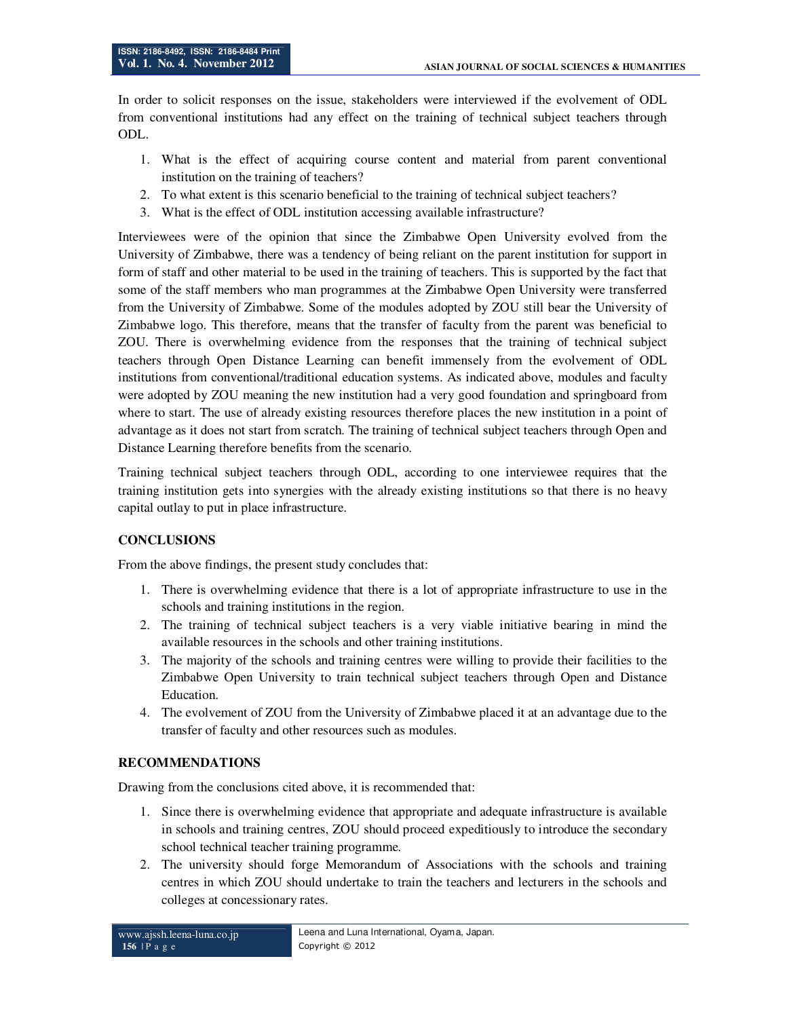In order to solicit responses on the issue, stakeholders were interviewed if the evolvement of ODL from conventional institutions had any effect on the training of technical subject teachers through ODL.

- 1. What is the effect of acquiring course content and material from parent conventional institution on the training of teachers?
- 2. To what extent is this scenario beneficial to the training of technical subject teachers?
- 3. What is the effect of ODL institution accessing available infrastructure?

Interviewees were of the opinion that since the Zimbabwe Open University evolved from the University of Zimbabwe, there was a tendency of being reliant on the parent institution for support in form of staff and other material to be used in the training of teachers. This is supported by the fact that some of the staff members who man programmes at the Zimbabwe Open University were transferred from the University of Zimbabwe. Some of the modules adopted by ZOU still bear the University of Zimbabwe logo. This therefore, means that the transfer of faculty from the parent was beneficial to ZOU. There is overwhelming evidence from the responses that the training of technical subject teachers through Open Distance Learning can benefit immensely from the evolvement of ODL institutions from conventional/traditional education systems. As indicated above, modules and faculty were adopted by ZOU meaning the new institution had a very good foundation and springboard from where to start. The use of already existing resources therefore places the new institution in a point of advantage as it does not start from scratch. The training of technical subject teachers through Open and Distance Learning therefore benefits from the scenario.

Training technical subject teachers through ODL, according to one interviewee requires that the training institution gets into synergies with the already existing institutions so that there is no heavy capital outlay to put in place infrastructure.

## **CONCLUSIONS**

From the above findings, the present study concludes that:

- 1. There is overwhelming evidence that there is a lot of appropriate infrastructure to use in the schools and training institutions in the region.
- 2. The training of technical subject teachers is a very viable initiative bearing in mind the available resources in the schools and other training institutions.
- 3. The majority of the schools and training centres were willing to provide their facilities to the Zimbabwe Open University to train technical subject teachers through Open and Distance Education.
- 4. The evolvement of ZOU from the University of Zimbabwe placed it at an advantage due to the transfer of faculty and other resources such as modules.

### **RECOMMENDATIONS**

Drawing from the conclusions cited above, it is recommended that:

- 1. Since there is overwhelming evidence that appropriate and adequate infrastructure is available in schools and training centres, ZOU should proceed expeditiously to introduce the secondary school technical teacher training programme.
- 2. The university should forge Memorandum of Associations with the schools and training centres in which ZOU should undertake to train the teachers and lecturers in the schools and colleges at concessionary rates.